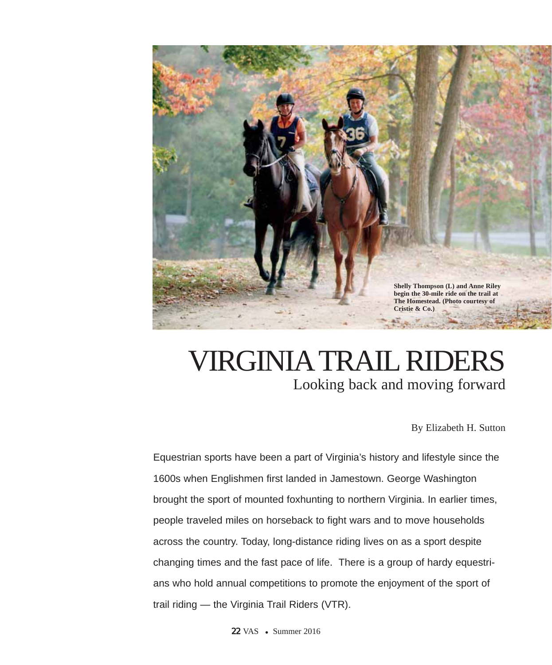

## VIRGINIATRAIL RIDERS Looking back and moving forward

By Elizabeth H. Sutton

Equestrian sports have been a part of Virginia's history and lifestyle since the 1600s when Englishmen first landed in Jamestown. George Washington brought the sport of mounted foxhunting to northern Virginia. In earlier times, people traveled miles on horseback to fight wars and to move households across the country. Today, long-distance riding lives on as a sport despite changing times and the fast pace of life. There is a group of hardy equestrians who hold annual competitions to promote the enjoyment of the sport of trail riding — the Virginia Trail Riders (VTR).

**22 VAS** • Summer 2016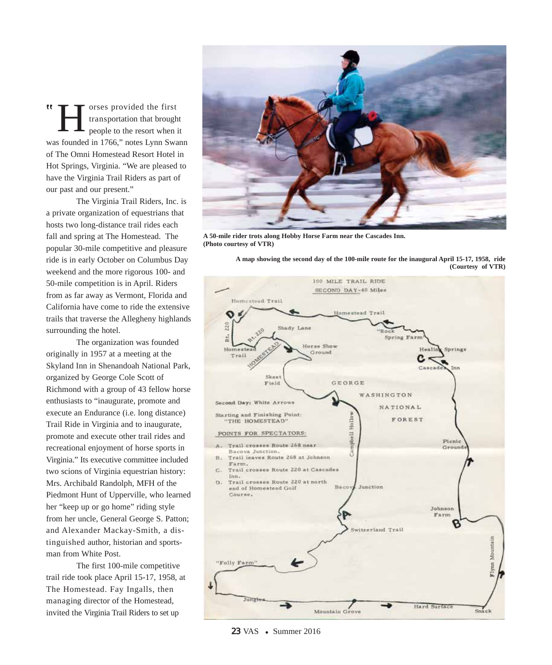H orses provided the first w transportation that brought people to the resort when it was founded in 1766," notes Lynn Swann of The Omni Homestead Resort Hotel in Hot Springs, Virginia. "We are pleased to have the Virginia Trail Riders as part of our past and our present."

The Virginia Trail Riders, Inc. is a private organization of equestrians that hosts two long-distance trail rides each fall and spring at The Homestead. The popular 30-mile competitive and pleasure ride is in early October on Columbus Day weekend and the more rigorous 100- and 50-mile competition is in April. Riders from as far away as Vermont, Florida and California have come to ride the extensive trails that traverse the Allegheny highlands surrounding the hotel.

The organization was founded originally in 1957 at a meeting at the Skyland Inn in Shenandoah National Park, organized by George Cole Scott of Richmond with a group of 43 fellow horse enthusiasts to "inaugurate, promote and execute an Endurance (i.e. long distance) Trail Ride in Virginia and to inaugurate, promote and execute other trail rides and recreational enjoyment of horse sports in Virginia." Its executive committee included two scions of Virginia equestrian history: Mrs. Archibald Randolph, MFH of the Piedmont Hunt of Upperville, who learned her "keep up or go home" riding style from her uncle, General George S. Patton; and Alexander Mackay-Smith, a distinguished author, historian and sportsman from White Post.

The first 100-mile competitive trail ride took place April 15-17, 1958, at The Homestead. Fay Ingalls, then managing director of the Homestead, invited the Virginia Trail Riders to set up



**A 50-mile rider trots along Hobby Horse Farm near the Cascades Inn. (Photo courtesy of VTR)**

**A map showing the second day of the 100-mile route for the inaugural April 15-17, 1958, ride (Courtesy of VTR)** 



## 23 VAS • Summer 2016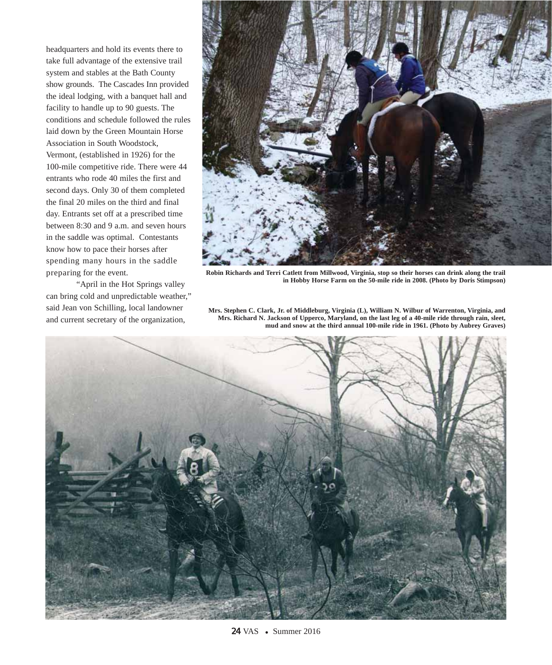headquarters and hold its events there to take full advantage of the extensive trail system and stables at the Bath County show grounds. The Cascades Inn provided the ideal lodging, with a banquet hall and facility to handle up to 90 guests. The conditions and schedule followed the rules laid down by the Green Mountain Horse Association in South Woodstock, Vermont, (established in 1926) for the 100-mile competitive ride. There were 44 entrants who rode 40 miles the first and second days. Only 30 of them completed the final 20 miles on the third and final day. Entrants set off at a prescribed time between 8:30 and 9 a.m. and seven hours in the saddle was optimal. Contestants know how to pace their horses after spending many hours in the saddle preparing for the event.

"April in the Hot Springs valley can bring cold and unpredictable weather," said Jean von Schilling, local landowner and current secretary of the organization,



**Robin Richards and Terri Catlett from Millwood, Virginia, stop so their horses can drink along the trail in Hobby Horse Farm on the 50-mile ride in 2008. (Photo by Doris Stimpson)**

**Mrs. Stephen C. Clark, Jr. of Middleburg, Virginia (L), William N. Wilbur of Warrenton, Virginia, and Mrs. Richard N. Jackson of Upperco, Maryland, on the last leg of a 40-mile ride through rain, sleet, mud and snow at the third annual 100-mile ride in 1961. (Photo by Aubrey Graves)**

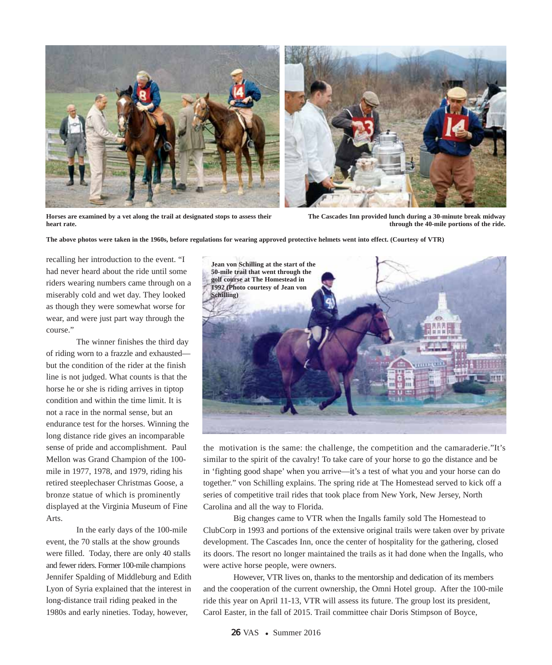

**Horses are examined by a vet along the trail at designated stops to assess their heart rate.** 



**The above photos were taken in the 1960s, before regulations for wearing approved protective helmets went into effect. (Courtesy of VTR)**

recalling her introduction to the event. "I had never heard about the ride until some riders wearing numbers came through on a miserably cold and wet day. They looked as though they were somewhat worse for wear, and were just part way through the course."

The winner finishes the third day of riding worn to a frazzle and exhausted but the condition of the rider at the finish line is not judged. What counts is that the horse he or she is riding arrives in tiptop condition and within the time limit. It is not a race in the normal sense, but an endurance test for the horses. Winning the long distance ride gives an incomparable sense of pride and accomplishment. Paul Mellon was Grand Champion of the 100 mile in 1977, 1978, and 1979, riding his retired steeplechaser Christmas Goose, a bronze statue of which is prominently displayed at the Virginia Museum of Fine Arts.

In the early days of the 100-mile event, the 70 stalls at the show grounds were filled. Today, there are only 40 stalls and fewer riders. Former 100-mile champions Jennifer Spalding of Middleburg and Edith Lyon of Syria explained that the interest in long-distance trail riding peaked in the 1980s and early nineties. Today, however,



the motivation is the same: the challenge, the competition and the camaraderie."It's similar to the spirit of the cavalry! To take care of your horse to go the distance and be in 'fighting good shape' when you arrive—it's a test of what you and your horse can do together." von Schilling explains. The spring ride at The Homestead served to kick off a series of competitive trail rides that took place from New York, New Jersey, North Carolina and all the way to Florida.

Big changes came to VTR when the Ingalls family sold The Homestead to ClubCorp in 1993 and portions of the extensive original trails were taken over by private development. The Cascades Inn, once the center of hospitality for the gathering, closed its doors. The resort no longer maintained the trails as it had done when the Ingalls, who were active horse people, were owners.

However, VTR lives on, thanks to the mentorship and dedication of its members and the cooperation of the current ownership, the Omni Hotel group. After the 100-mile ride this year on April 11-13, VTR will assess its future. The group lost its president, Carol Easter, in the fall of 2015. Trail committee chair Doris Stimpson of Boyce,